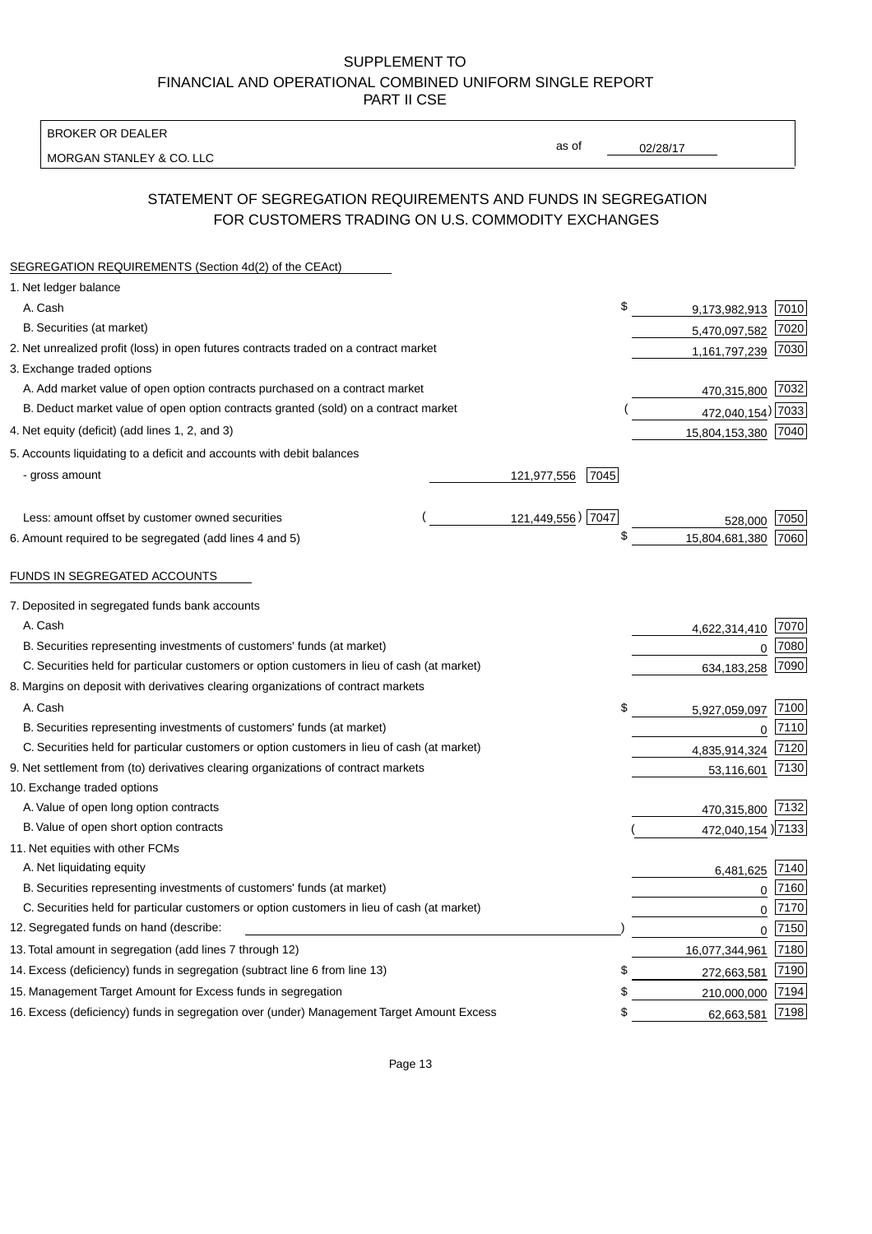BROKER OR DEALER

MORGAN STANLEY & CO. LLC

02/28/17

as of

# STATEMENT OF SEGREGATION REQUIREMENTS AND FUNDS IN SEGREGATION FOR CUSTOMERS TRADING ON U.S. COMMODITY EXCHANGES

| SEGREGATION REQUIREMENTS (Section 4d(2) of the CEAct)                                       |                     |    |                     |        |
|---------------------------------------------------------------------------------------------|---------------------|----|---------------------|--------|
| 1. Net ledger balance                                                                       |                     |    |                     |        |
| A. Cash                                                                                     |                     | \$ | 9,173,982,913 7010  |        |
| B. Securities (at market)                                                                   |                     |    | 5,470,097,582       | 7020   |
| 2. Net unrealized profit (loss) in open futures contracts traded on a contract market       |                     |    | 1,161,797,239       | 7030   |
| 3. Exchange traded options                                                                  |                     |    |                     |        |
| A. Add market value of open option contracts purchased on a contract market                 |                     |    | 470,315,800 7032    |        |
| B. Deduct market value of open option contracts granted (sold) on a contract market         |                     |    | 472,040,154) 7033   |        |
| 4. Net equity (deficit) (add lines 1, 2, and 3)                                             |                     |    | 15,804,153,380 7040 |        |
| 5. Accounts liquidating to a deficit and accounts with debit balances                       |                     |    |                     |        |
| - gross amount                                                                              | 121,977,556<br>7045 |    |                     |        |
|                                                                                             |                     |    |                     |        |
| Less: amount offset by customer owned securities                                            | 121,449,556) 7047   |    | 528,000             | 7050   |
| 6. Amount required to be segregated (add lines 4 and 5)                                     |                     | \$ | 15,804,681,380      | 7060   |
|                                                                                             |                     |    |                     |        |
| FUNDS IN SEGREGATED ACCOUNTS                                                                |                     |    |                     |        |
| 7. Deposited in segregated funds bank accounts                                              |                     |    |                     |        |
| A. Cash                                                                                     |                     |    | 4,622,314,410       | 7070   |
| B. Securities representing investments of customers' funds (at market)                      |                     |    | 0                   | 7080   |
| C. Securities held for particular customers or option customers in lieu of cash (at market) |                     |    | 634,183,258         | 7090   |
| 8. Margins on deposit with derivatives clearing organizations of contract markets           |                     |    |                     |        |
| A. Cash                                                                                     |                     | \$ | 5,927,059,097       | 7100   |
| B. Securities representing investments of customers' funds (at market)                      |                     |    | $\mathbf 0$         | 7110   |
| C. Securities held for particular customers or option customers in lieu of cash (at market) |                     |    | 4,835,914,324       | 7120   |
| 9. Net settlement from (to) derivatives clearing organizations of contract markets          |                     |    | 53,116,601          | 7130   |
| 10. Exchange traded options                                                                 |                     |    |                     |        |
| A. Value of open long option contracts                                                      |                     |    | 470,315,800         | 7132   |
| B. Value of open short option contracts                                                     |                     |    | 472,040,154 7133    |        |
| 11. Net equities with other FCMs                                                            |                     |    |                     |        |
| A. Net liquidating equity                                                                   |                     |    | 6,481,625           | 7140   |
| B. Securities representing investments of customers' funds (at market)                      |                     |    | $\mathbf 0$         | 7160   |
| C. Securities held for particular customers or option customers in lieu of cash (at market) |                     |    | 0                   | 7170   |
| 12. Segregated funds on hand (describe:                                                     |                     |    | 0                   | $7150$ |
| 13. Total amount in segregation (add lines 7 through 12)                                    |                     |    | 16,077,344,961      | 7180   |
| 14. Excess (deficiency) funds in segregation (subtract line 6 from line 13)                 |                     | S  | 272,663,581         | 7190   |
| 15. Management Target Amount for Excess funds in segregation                                |                     | \$ | 210,000,000         | 7194   |
| 16. Excess (deficiency) funds in segregation over (under) Management Target Amount Excess   |                     | \$ | 62,663,581          | 7198   |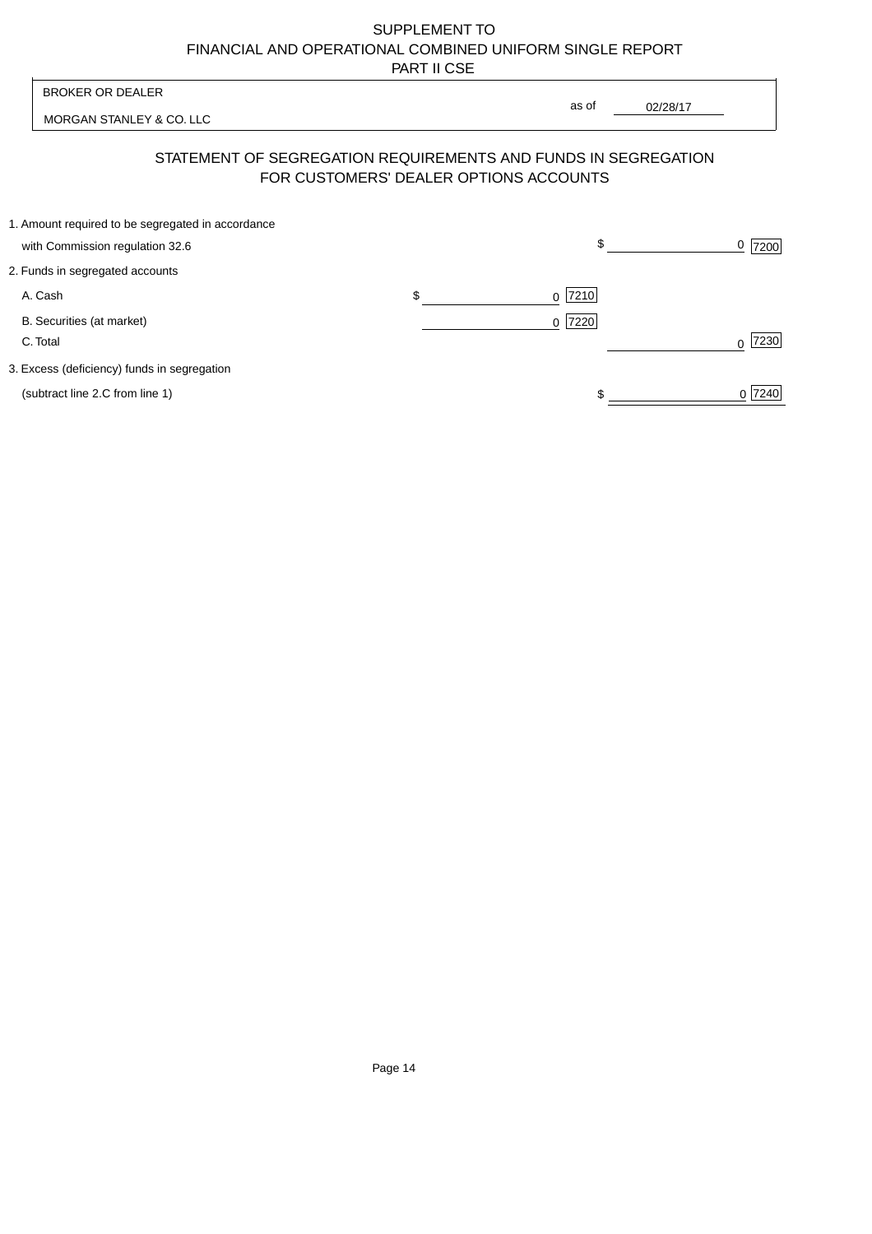| <b>BROKER OR DEALER</b>                                                                                  | as of                    |          |                |
|----------------------------------------------------------------------------------------------------------|--------------------------|----------|----------------|
| MORGAN STANLEY & CO. LLC                                                                                 |                          | 02/28/17 |                |
| STATEMENT OF SEGREGATION REQUIREMENTS AND FUNDS IN SEGREGATION<br>FOR CUSTOMERS' DEALER OPTIONS ACCOUNTS |                          |          |                |
| 1. Amount required to be segregated in accordance                                                        | \$                       |          |                |
| with Commission regulation 32.6                                                                          |                          |          | <u>0</u>  7200 |
| 2. Funds in segregated accounts                                                                          |                          |          |                |
| A. Cash                                                                                                  | \$<br> 7210 <br>$\Omega$ |          |                |
| B. Securities (at market)                                                                                | 7220<br>0                |          |                |
| C. Total                                                                                                 |                          |          | 7230           |
| 3. Excess (deficiency) funds in segregation                                                              |                          |          |                |
| (subtract line 2.C from line 1)                                                                          |                          |          | 0 7240         |
|                                                                                                          |                          |          |                |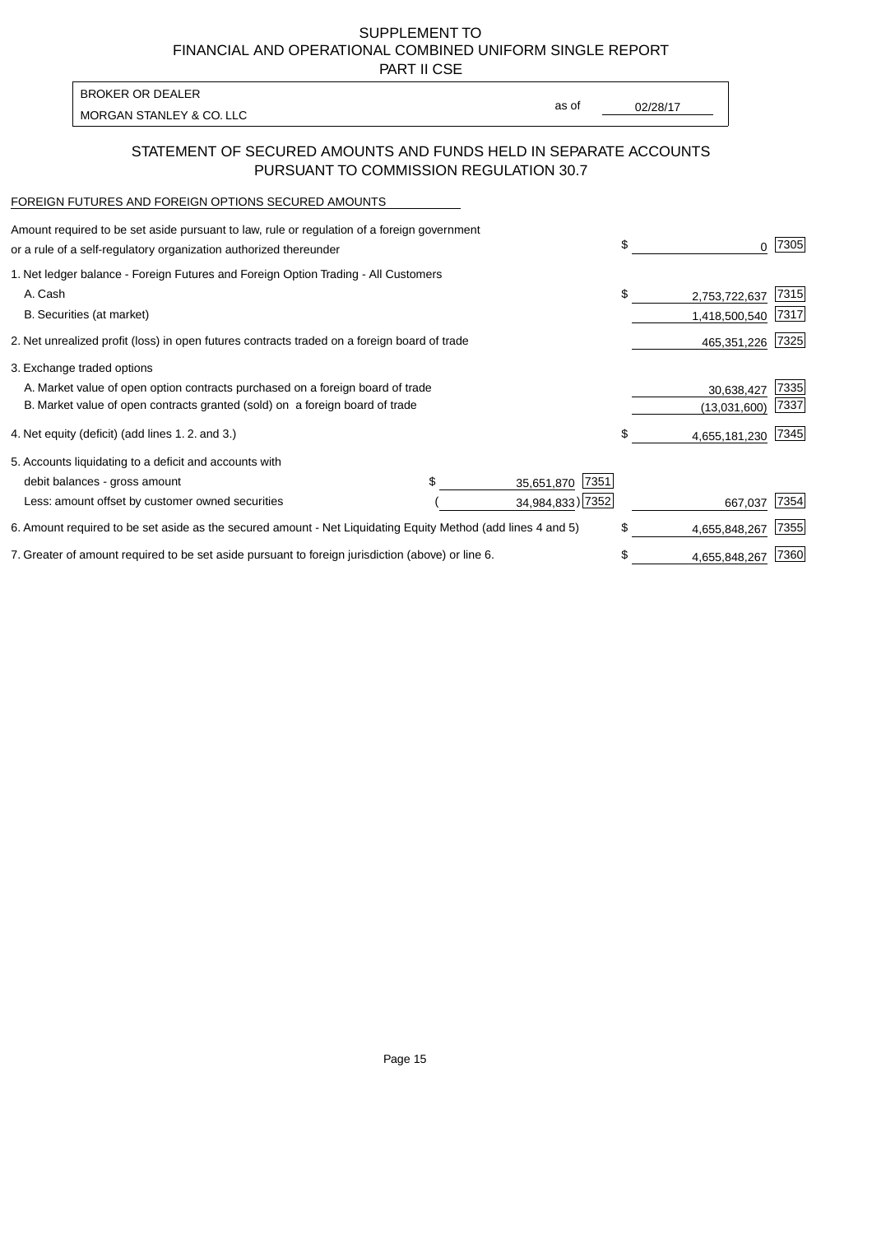PART II CSE

MORGAN STANLEY & CO. LLC and the contract of the contract of the contract of the contract of the contract of the contract of the contract of the contract of the contract of the contract of the contract of the contract of t BROKER OR DEALER

as of

### STATEMENT OF SECURED AMOUNTS AND FUNDS HELD IN SEPARATE ACCOUNTS PURSUANT TO COMMISSION REGULATION 30.7

#### FOREIGN FUTURES AND FOREIGN OPTIONS SECURED AMOUNTS

| Amount required to be set aside pursuant to law, rule or regulation of a foreign government<br>or a rule of a self-regulatory organization authorized thereunder |  |                    | \$ |               | 7305 |
|------------------------------------------------------------------------------------------------------------------------------------------------------------------|--|--------------------|----|---------------|------|
| 1. Net ledger balance - Foreign Futures and Foreign Option Trading - All Customers                                                                               |  |                    |    |               |      |
| A. Cash                                                                                                                                                          |  |                    | \$ | 2,753,722,637 | 7315 |
| B. Securities (at market)                                                                                                                                        |  |                    |    | 1,418,500,540 | 7317 |
| 2. Net unrealized profit (loss) in open futures contracts traded on a foreign board of trade                                                                     |  |                    |    | 465,351,226   | 7325 |
| 3. Exchange traded options                                                                                                                                       |  |                    |    |               |      |
| A. Market value of open option contracts purchased on a foreign board of trade                                                                                   |  |                    |    | 30,638,427    | 7335 |
| B. Market value of open contracts granted (sold) on a foreign board of trade                                                                                     |  |                    |    | (13,031,600)  | 7337 |
| 4. Net equity (deficit) (add lines 1.2. and 3.)                                                                                                                  |  |                    | \$ | 4,655,181,230 | 7345 |
| 5. Accounts liquidating to a deficit and accounts with                                                                                                           |  |                    |    |               |      |
| debit balances - gross amount                                                                                                                                    |  | 7351<br>35,651,870 |    |               |      |
| Less: amount offset by customer owned securities                                                                                                                 |  | 34,984,833) 7352   |    | 667,037       | 7354 |
| 6. Amount required to be set aside as the secured amount - Net Liquidating Equity Method (add lines 4 and 5)                                                     |  |                    | \$ | 4,655,848,267 | 7355 |
| 7. Greater of amount required to be set aside pursuant to foreign jurisdiction (above) or line 6.                                                                |  |                    | \$ | 4,655,848,267 | 7360 |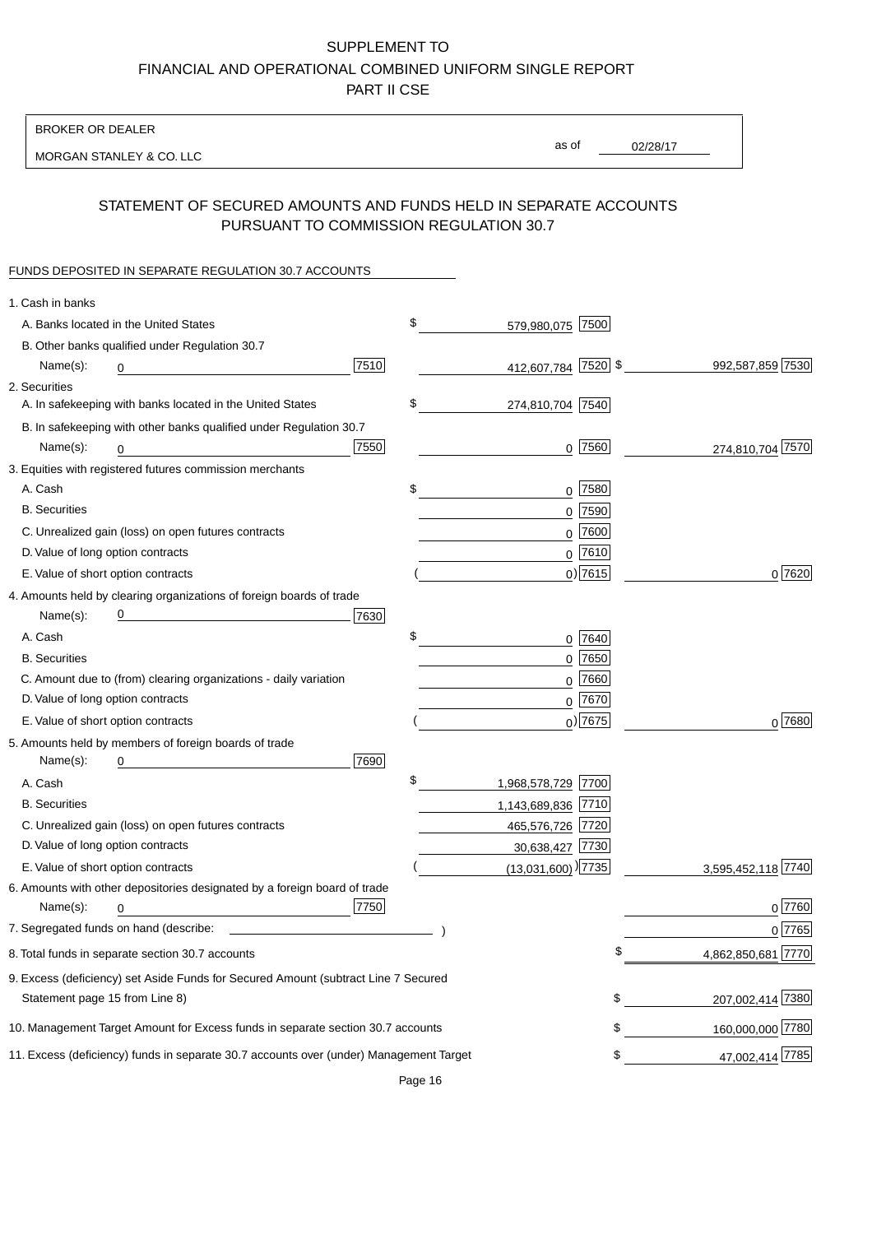BROKER OR DEALER

MORGAN STANLEY & CO. LLC

02/28/17 as of

## STATEMENT OF SECURED AMOUNTS AND FUNDS HELD IN SEPARATE ACCOUNTS PURSUANT TO COMMISSION REGULATION 30.7

### FUNDS DEPOSITED IN SEPARATE REGULATION 30.7 ACCOUNTS

| 1. Cash in banks                   |                                                                                        |      |                                    |             |                    |
|------------------------------------|----------------------------------------------------------------------------------------|------|------------------------------------|-------------|--------------------|
|                                    | A. Banks located in the United States                                                  |      | \$<br>579,980,075 7500             |             |                    |
|                                    | B. Other banks qualified under Regulation 30.7                                         |      |                                    |             |                    |
| Name(s):                           | 0                                                                                      | 7510 | 412,607,784 7520 \$                |             | 992,587,859 7530   |
| 2. Securities                      |                                                                                        |      |                                    |             |                    |
|                                    | A. In safekeeping with banks located in the United States                              |      | \$<br>274,810,704 7540             |             |                    |
|                                    | B. In safekeeping with other banks qualified under Regulation 30.7                     |      |                                    |             |                    |
| Name(s):                           | 0                                                                                      | 7550 |                                    | $0$ 7560    | 274,810,704 7570   |
|                                    | 3. Equities with registered futures commission merchants                               |      |                                    |             |                    |
| A. Cash                            |                                                                                        |      | \$                                 | $0$ 7580    |                    |
| <b>B.</b> Securities               |                                                                                        |      |                                    | $0$ 7590    |                    |
|                                    | C. Unrealized gain (loss) on open futures contracts                                    |      |                                    | $0$ 7600    |                    |
| D. Value of long option contracts  |                                                                                        |      |                                    | $0$ 7610    |                    |
| E. Value of short option contracts |                                                                                        |      |                                    | $0$ ) 7615  | 0 7620             |
|                                    | 4. Amounts held by clearing organizations of foreign boards of trade                   |      |                                    |             |                    |
| Name(s):                           | <u> 1980 - Johann Barn, mars an t-Amerikaansk kommunister (</u>                        | 7630 |                                    |             |                    |
| A. Cash                            |                                                                                        |      | \$                                 | 0 7640      |                    |
| <b>B.</b> Securities               |                                                                                        |      |                                    | $0$ 7650    |                    |
|                                    | C. Amount due to (from) clearing organizations - daily variation                       |      |                                    | $0$ 7660    |                    |
| D. Value of long option contracts  |                                                                                        |      |                                    | $0^{7670}$  |                    |
| E. Value of short option contracts |                                                                                        |      |                                    | $_0$ ) 7675 | $0^{7680}$         |
|                                    | 5. Amounts held by members of foreign boards of trade                                  |      |                                    |             |                    |
| Name(s):                           | 0                                                                                      | 7690 |                                    |             |                    |
| A. Cash                            |                                                                                        |      | \$<br>1,968,578,729 7700           |             |                    |
| <b>B.</b> Securities               |                                                                                        |      | 1,143,689,836 7710                 |             |                    |
|                                    | C. Unrealized gain (loss) on open futures contracts                                    |      | 465,576,726 7720                   |             |                    |
| D. Value of long option contracts  |                                                                                        |      | 30,638,427 7730                    |             |                    |
| E. Value of short option contracts |                                                                                        |      | $(13,031,600)$ <sup>)</sup> [7735] |             | 3,595,452,118 7740 |
|                                    | 6. Amounts with other depositories designated by a foreign board of trade              |      |                                    |             |                    |
| Name(s):                           | 0                                                                                      | 7750 |                                    |             | 0 7760             |
|                                    |                                                                                        |      |                                    |             | 0 7765             |
|                                    | 8. Total funds in separate section 30.7 accounts                                       |      |                                    | \$          | 4,862,850,681 7770 |
|                                    | 9. Excess (deficiency) set Aside Funds for Secured Amount (subtract Line 7 Secured     |      |                                    |             |                    |
| Statement page 15 from Line 8)     |                                                                                        |      |                                    | \$          | 207,002,414 7380   |
|                                    | 10. Management Target Amount for Excess funds in separate section 30.7 accounts        |      |                                    | \$          | 160,000,000 7780   |
|                                    | 11. Excess (deficiency) funds in separate 30.7 accounts over (under) Management Target |      |                                    | \$          | 47,002,414 7785    |